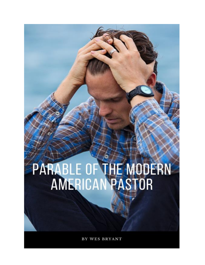## PARABLE OF THE MODERN<br>AMERICAN PASTOR

BY WES BRYANT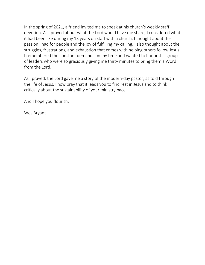In the spring of 2021, a friend invited me to speak at his church's weekly staff devotion. As I prayed about what the Lord would have me share, I considered what it had been like during my 13 years on staff with a church. I thought about the passion I had for people and the joy of fulfilling my calling. I also thought about the struggles, frustrations, and exhaustion that comes with helping others follow Jesus. I remembered the constant demands on my time and wanted to honor this group of leaders who were so graciously giving me thirty minutes to bring them a Word from the Lord.

As I prayed, the Lord gave me a story of the modern-day pastor, as told through the life of Jesus. I now pray that it leads you to find rest in Jesus and to think critically about the sustainability of your ministry pace.

And I hope you flourish.

Wes Bryant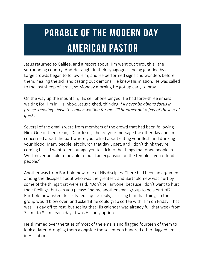## **PARABLE OF THE MODERN DAY AMERICAN PASTOR**

Jesus returned to Galilee, and a report about Him went out through all the surrounding country. And He taught in their synagogues, being glorified by all. Large crowds began to follow Him, and He performed signs and wonders before them, healing the sick and casting out demons. He knew His mission. He was called to the lost sheep of Israel, so Monday morning He got up early to pray.

On the way up the mountain, His cell phone pinged. He had forty-three emails waiting for Him in His inbox. Jesus sighed, thinking, *I'll never be able to focus in prayer knowing I have this much waiting for me. I'll hammer out a few of these real quick.*

Several of the emails were from members of the crowd that had been following Him. One of them read, "Dear Jesus, I heard your message the other day and I'm concerned about the part where you talked about eating your flesh and drinking your blood. Many people left church that day upset, and I don't think they're coming back. I want to encourage you to stick to the things that draw people in. We'll never be able to be able to build an expansion on the temple if you offend people."

Another was from Bartholomew, one of His disciples. There had been an argument among the disciples about who was the greatest, and Bartholomew was hurt by some of the things that were said. "Don't tell anyone, because I don't want to hurt their feelings, but can you please find me another small group to be a part of?", Bartholomew asked. Jesus typed a quick reply, assuring him that things in the group would blow over, and asked if he could grab coffee with Him on Friday. That was His day off to rest, but seeing that His calendar was already full that week from 7 a.m. to 8 p.m. each day, it was His only option.

He skimmed over the titles of most of the emails and flagged fourteen of them to look at later, dropping them alongside the seventeen hundred other flagged emails in His inbox.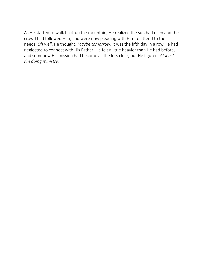As He started to walk back up the mountain, He realized the sun had risen and the crowd had followed Him, and were now pleading with Him to attend to their needs. *Oh well*, He thought. *Maybe tomorrow*. It was the fifth day in a row He had neglected to connect with His Father. He felt a little heavier than He had before, and somehow His mission had become a little less clear, but He figured, *At least I'm doing ministry.*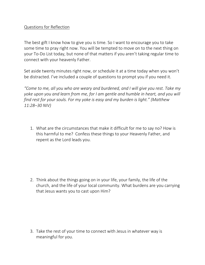## Questions for Reflection

The best gift I know how to give you is time. So I want to encourage you to take some time to pray right now. You will be tempted to move on to the next thing on your To-Do List today, but none of that matters if you aren't taking regular time to connect with your heavenly Father.

Set aside twenty minutes right now, or schedule it at a time today when you won't be distracted. I've included a couple of questions to prompt you if you need it.

*"Come to me, all you who are weary and burdened, and I will give you rest. Take my yoke upon you and learn from me, for I am gentle and humble in heart, and you will find rest for your souls. For my yoke is easy and my burden is light." (Matthew 11:28–30 NIV)*

1. What are the circumstances that make it difficult for me to say no? How is this harmful to me? Confess these things to your Heavenly Father, and repent as the Lord leads you.

2. Think about the things going on in your life, your family, the life of the church, and the life of your local community. What burdens are you carrying that Jesus wants you to cast upon Him?

3. Take the rest of your time to connect with Jesus in whatever way is meaningful for you.